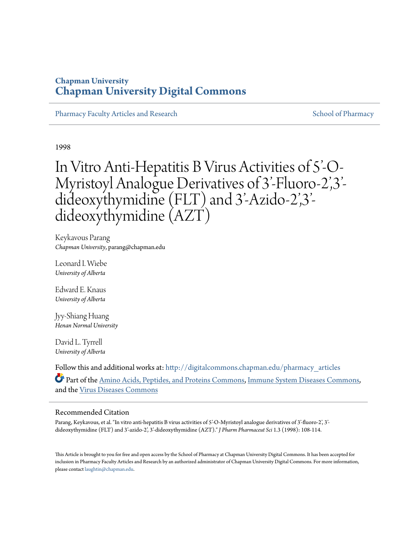## **Chapman University [Chapman University Digital Commons](http://digitalcommons.chapman.edu?utm_source=digitalcommons.chapman.edu%2Fpharmacy_articles%2F64&utm_medium=PDF&utm_campaign=PDFCoverPages)**

[Pharmacy Faculty Articles and Research](http://digitalcommons.chapman.edu/pharmacy_articles?utm_source=digitalcommons.chapman.edu%2Fpharmacy_articles%2F64&utm_medium=PDF&utm_campaign=PDFCoverPages) [School of Pharmacy](http://digitalcommons.chapman.edu/cusp?utm_source=digitalcommons.chapman.edu%2Fpharmacy_articles%2F64&utm_medium=PDF&utm_campaign=PDFCoverPages) School of Pharmacy

1998

# In Vitro Anti-Hepatitis B Virus Activities of 5'-O-Myristoyl Analogue Derivatives of 3'-Fluoro-2',3' dideoxythymidine (FLT) and 3'-Azido-2',3' dideoxythymidine (AZT)

Keykavous Parang *Chapman University*, parang@chapman.edu

Leonard I. Wiebe *University of Alberta*

Edward E. Knaus *University of Alberta*

Jyy-Shiang Huang *Henan Normal University*

David L. Tyrrell *University of Alberta*

Follow this and additional works at: [http://digitalcommons.chapman.edu/pharmacy\\_articles](http://digitalcommons.chapman.edu/pharmacy_articles?utm_source=digitalcommons.chapman.edu%2Fpharmacy_articles%2F64&utm_medium=PDF&utm_campaign=PDFCoverPages) Part of the [Amino Acids, Peptides, and Proteins Commons](http://network.bepress.com/hgg/discipline/954?utm_source=digitalcommons.chapman.edu%2Fpharmacy_articles%2F64&utm_medium=PDF&utm_campaign=PDFCoverPages), [Immune System Diseases Commons,](http://network.bepress.com/hgg/discipline/933?utm_source=digitalcommons.chapman.edu%2Fpharmacy_articles%2F64&utm_medium=PDF&utm_campaign=PDFCoverPages) and the [Virus Diseases Commons](http://network.bepress.com/hgg/discipline/998?utm_source=digitalcommons.chapman.edu%2Fpharmacy_articles%2F64&utm_medium=PDF&utm_campaign=PDFCoverPages)

#### Recommended Citation

Parang, Keykavous, et al. "In vitro anti-hepatitis B virus activities of 5'-O-Myristoyl analogue derivatives of 3'-fluoro-2', 3'dideoxythymidine (FLT) and 3'-azido-2', 3'-dideoxythymidine (AZT)." *J Pharm Pharmaceut Sci* 1.3 (1998): 108-114.

This Article is brought to you for free and open access by the School of Pharmacy at Chapman University Digital Commons. It has been accepted for inclusion in Pharmacy Faculty Articles and Research by an authorized administrator of Chapman University Digital Commons. For more information, please contact [laughtin@chapman.edu.](mailto:laughtin@chapman.edu)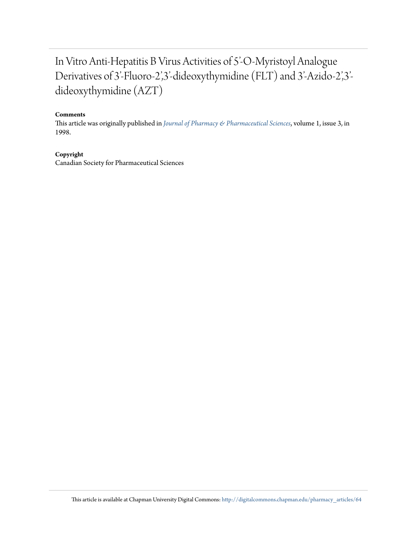# In Vitro Anti-Hepatitis B Virus Activities of 5'-O-Myristoyl Analogue Derivatives of 3'-Fluoro-2',3'-dideoxythymidine (FLT) and 3'-Azido-2',3' dideoxythymidine (AZT)

#### **Comments**

This article was originally published in *[Journal of Pharmacy & Pharmaceutical Sciences](http://www.ualberta.ca/~csps/JPPS1%283%29/E.Knaus/hepatitis.htm)*, volume 1, issue 3, in 1998.

#### **Copyright**

Canadian Society for Pharmaceutical Sciences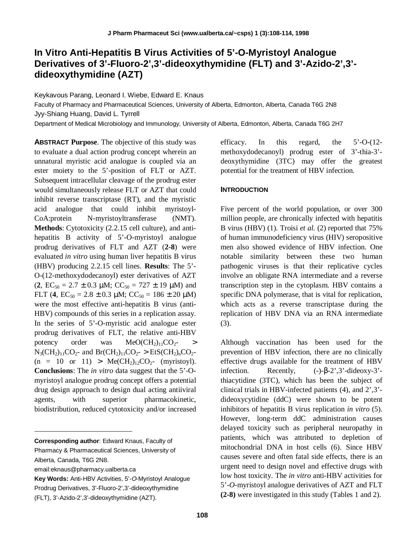## **In Vitro Anti-Hepatitis B Virus Activities of 5'-O-Myristoyl Analogue Derivatives of 3'-Fluoro-2',3'-dideoxythymidine (FLT) and 3'-Azido-2',3' dideoxythymidine (AZT)**

Keykavous Parang, Leonard I. Wiebe, Edward E. Knaus

Faculty of Pharmacy and Pharmaceutical Sciences, University of Alberta, Edmonton, Alberta, Canada T6G 2N8 Jyy-Shiang Huang, David L. Tyrrell

Department of Medical Microbiology and Immunology, University of Alberta, Edmonton, Alberta, Canada T6G 2H7

**ABSTRACT Purpose**. The objective of this study was to evaluate a dual action prodrug concept wherein an unnatural myristic acid analogue is coupled via an ester moiety to the 5'-position of FLT or AZT. Subsequent intracellular cleavage of the prodrug ester would simultaneously release FLT or AZT that could inhibit reverse transcriptase (RT), and the myristic acid analogue that could inhibit myristoyl-CoA:protein N-myristoyltransferase (NMT). **Methods**: Cytotoxicity (2.2.15 cell culture), and antihepatitis B activity of 5'-O-myristoyl analogue prodrug derivatives of FLT and AZT (**2-8**) were evaluated *in vitro* using human liver hepatitis B virus (HBV) producing 2.2.15 cell lines. **Results**: The 5'- O-(12-methoxydodecanoyl) ester derivatives of AZT  $(2, EC_{50} = 2.7 \pm 0.3 \text{ µM}; CC_{50} = 727 \pm 19 \text{ µM})$  and FLT (4,  $EC_{50} = 2.8 \pm 0.3 \mu M$ ;  $CC_{50} = 186 \pm 20 \mu M$ ) were the most effective anti-hepatitis B virus (anti-HBV) compounds of this series in a replication assay. In the series of 5'-O-myristic acid analogue ester prodrug derivatives of FLT, the relative anti-HBV potency order was  $MeO(CH_2)_{11}CO_2$ - >  $N_3(CH_2)_{11}CO_2$ - and  $Br(CH_2)_{11}CO_2$ - > EtS(CH<sub>2</sub>)<sub>n</sub>CO<sub>2</sub>- $(n = 10 \text{ or } 11) > Me(CH_2)_{12}CO_2$ - (myristoyl). **Conclusions**: The *in vitro* data suggest that the 5'-Omyristoyl analogue prodrug concept offers a potential drug design approach to design dual acting antiiviral agents, with superior pharmacokinetic, biodistribution, reduced cytotoxicity and/or increased

**Corresponding author**: Edward Knaus, Faculty of Pharmacy & Pharmaceutical Sciences, University of Alberta, Canada, T6G 2N8.

email:eknaus@pharmacy.ualberta.ca

i

**Key Words:** Anti-HBV Activities, 5'-O-Myristoyl Analogue Prodrug Derivatives, 3'-Fluoro-2',3'-dideoxythymidine (FLT), 3'-Azido-2',3'-dideoxythymidine (AZT).

efficacy. In this regard, the 5'-O-(12 methoxydodecanoyl) prodrug ester of 3'-thia-3' deoxythymidine (3TC) may offer the greatest potential for the treatment of HBV infection.

#### **INTRODUCTION**

Five percent of the world population, or over 300 million people, are chronically infected with hepatitis B virus (HBV) (1). Troisi *et al.* (2) reported that 75% of human immunodeficiency virus (HIV) seropositive men also showed evidence of HBV infection. One notable similarity between these two human pathogenic viruses is that their replicative cycles involve an obligate RNA intermediate and a reverse transcription step in the cytoplasm. HBV contains a specific DNA polymerase, that is vital for replication, which acts as a reverse transcriptase during the replication of HBV DNA via an RNA intermediate (3).

Although vaccination has been used for the prevention of HBV infection, there are no clinically effective drugs available for the treatment of HBV infection. Recently,  $(-)-\beta-2^{\prime},3^{\prime}$ -dideoxy-3'thiacytidine (3TC), which has been the subject of clinical trials in HBV-infected patients (4), and 2',3' dideoxycytidine (ddC) were shown to be potent inhibitors of hepatitis B virus replication *in vitro* (5). However, long-term ddC administration causes delayed toxicity such as peripheral neuropathy in patients, which was attributed to depletion of mitochondrial DNA in host cells (6). Since HBV causes severe and often fatal side effects, there is an urgent need to design novel and effective drugs with low host toxicity. The *in vitro* anti-HBV activities for 5'-*O*-myristoyl analogue derivatives of AZT and FLT **(2-8)** were investigated in this study (Tables 1 and 2).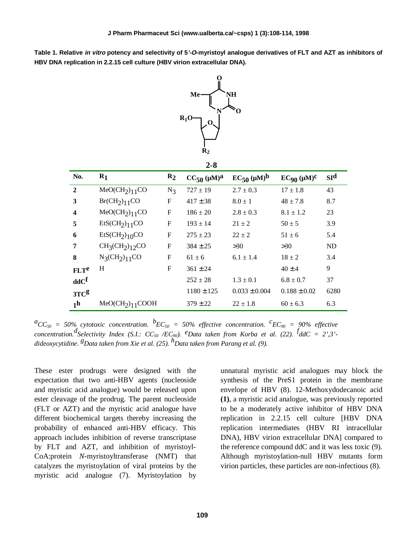**Table 1. Relative in vitro potency and selectivity of 5'-O-myristoyl analogue derivatives of FLT and AZT as inhibitors of HBV DNA replication in 2.2.15 cell culture (HBV virion extracellular DNA).**



$$
2-8
$$

| No.                    | $R_1$                                   | $R_2$        | $CC_{50} (\mu M)^{a}$ | $EC_{50} (\mu M)^b$ | $EC_{90} (\mu M)^{C}$ | SI <sup>d</sup> |
|------------------------|-----------------------------------------|--------------|-----------------------|---------------------|-----------------------|-----------------|
| $\mathbf{2}$           | MeOCH <sub>2</sub> ) <sub>11</sub> CO   | $N_3$        | $727 \pm 19$          | $2.7 \pm 0.3$       | $17 \pm 1.8$          | 43              |
| 3                      | Br(CH <sub>2</sub> ) <sub>11</sub> CO   | F            | $417 \pm 38$          | $8.0 \pm 1$         | $48 \pm 7.8$          | 8.7             |
| 4                      | MeOCH <sub>2</sub> ) <sub>11</sub> CO   | $\mathbf{F}$ | $186 \pm 20$          | $2.8 \pm 0.3$       | $8.1 \pm 1.2$         | 23              |
| 5                      | EtSCH <sub>2</sub> ) <sub>11</sub> CO   | F            | $193 \pm 14$          | $21 \pm 2$          | $50 \pm 5$            | 3.9             |
| 6                      | EtSCH <sub>2</sub> ) <sub>10</sub> CO   | F            | $275 \pm 23$          | $22 + 2$            | $51 \pm 6$            | 5.4             |
| 7                      | $CH3(CH2)12CO$                          | $\mathbf{F}$ | $384 \pm 25$          | >30                 | >30                   | <b>ND</b>       |
| 8                      | $N_3(CH_2)_{11}CO$                      | $\mathbf{F}$ | $61 \pm 6$            | $6.1 \pm 1.4$       | $18 \pm 2$            | 3.4             |
| <b>FLT<sup>e</sup></b> | H                                       | F            | $361 \pm 24$          |                     | $40 \pm 4$            | 9               |
| $\bf dd C^f$           |                                         |              | $252 \pm 28$          | $1.3 \pm 0.1$       | $6.8 \pm 0.7$         | 37              |
| 3TC <sup>g</sup>       |                                         |              | $1180 \pm 125$        | $0.033 \pm 0.004$   | $0.188 \pm 0.02$      | 6280            |
| 1 <sup>h</sup>         | MeOCH <sub>2</sub> ) <sub>11</sub> COOH |              | $379 \pm 22$          | $22 \pm 1.8$        | $60 \pm 6.3$          | 6.3             |

 ${}^aCC_{50}$  = 50% cytotoxic concentration.  ${}^bEC_{50}$  = 50% effective concentration.  ${}^cEC_{90}$  = 90% effective  $\alpha$  *concentration.*<sup>*d*</sup> Selectivity Index (S.I.: CC<sub>50</sub> /EC<sub>90</sub>). <sup>*e*</sup>Data taken from Korba et al. (22). <sup>*f*</sup>ddC = 2',3'*dideoxycytidine. gData taken from Xie et al. (25). hData taken from Parang et al. (9).*

These ester prodrugs were designed with the expectation that two anti-HBV agents (nucleoside and myristic acid analogue) would be released upon ester cleavage of the prodrug. The parent nucleoside (FLT or AZT) and the myristic acid analogue have different biochemical targets thereby increasing the probability of enhanced anti-HBV efficacy. This approach includes inhibition of reverse transcriptase by FLT and AZT, and inhibition of myristoyl-CoA:protein *N*-myristoyltransferase (NMT) that catalyzes the myristoylation of viral proteins by the myristic acid analogue (7). Myristoylation by

unnatural myristic acid analogues may block the synthesis of the PreS1 protein in the membrane envelope of HBV (8). 12-Methoxydodecanoic acid **(1)**, a myristic acid analogue, was previously reported to be a moderately active inhibitor of HBV DNA replication in 2.2.15 cell culture [HBV DNA replication intermediates (HBV RI intracellular DNA), HBV virion extracellular DNA] compared to the reference compound ddC and it was less toxic (9). Although myristoylation-null HBV mutants form virion particles, these particles are non-infectious (8).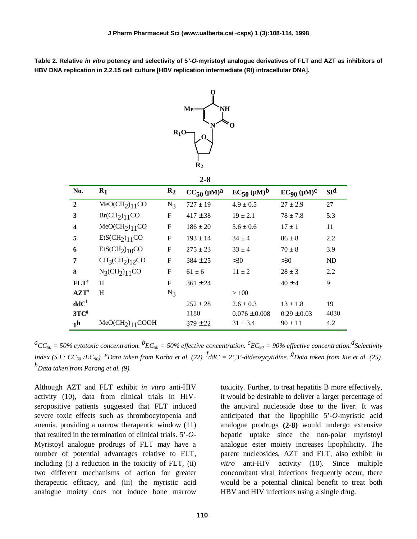**Table 2. Relative in vitro potency and selectivity of 5'-O-myristoyl analogue derivatives of FLT and AZT as inhibitors of HBV DNA replication in 2.2.15 cell culture [HBV replication intermediate (RI) intracellular DNA].**



| No.                     | $R_1$                                   | $R_2$        | $CC_{50}$ ( $\mu$ M) <sup>a</sup> | $EC_{50}$ ( $\mu$ M) <sup>b</sup> | $EC_{90} (\mu M)^{c}$ | SI <sup>d</sup> |
|-------------------------|-----------------------------------------|--------------|-----------------------------------|-----------------------------------|-----------------------|-----------------|
| $\mathbf{2}$            | MeOCH <sub>2</sub> ) <sub>11</sub> CO   | $N_3$        | $727 \pm 19$                      | $4.9 \pm 0.5$                     | $27 \pm 2.9$          | 27              |
| 3                       | $Br(CH_2)_{11}CO$                       | $_{\rm F}$   | $417 \pm 38$                      | $19 \pm 2.1$                      | $78 \pm 7.8$          | 5.3             |
| $\overline{\mathbf{4}}$ | $MeO(CH_2)_{11}CO$                      | $_{\rm F}$   | $186 \pm 20$                      | $5.6 \pm 0.6$                     | $17 \pm 1$            | 11              |
| 5                       | EtSCH <sub>2</sub> ) <sub>11</sub> CO   | F            | $193 \pm 14$                      | $34 \pm 4$                        | $86 \pm 8$            | 2.2             |
| 6                       | EtSCH <sub>2</sub> ) <sub>10</sub> CO   | F            | $275 \pm 23$                      | $33 \pm 4$                        | $70 \pm 8$            | 3.9             |
| 7                       | $CH3(CH2)12CO$                          | $\mathbf{F}$ | $384 \pm 25$                      | >30                               | >30                   | <b>ND</b>       |
| 8                       | $N_3CH_2$ <sub>11</sub> CO              | $_{\rm F}$   | $61 \pm 6$                        | $11 \pm 2$                        | $28 \pm 3$            | 2.2             |
| FLT <sup>e</sup>        | H                                       | $\mathbf{F}$ | $361 \pm 24$                      |                                   | $40 \pm 4$            | 9               |
| $\mathbf{AZT}^e$        | H                                       | $N_3$        |                                   | >100                              |                       |                 |
| $\bf dd C^f$            |                                         |              | $252 \pm 28$                      | $2.6 \pm 0.3$                     | $13 \pm 1.8$          | 19              |
| 3TC <sup>g</sup>        |                                         |              | 1180                              | $0.076 \pm 0.008$                 | $0.29 \pm 0.03$       | 4030            |
| 1 <sup>h</sup>          | MeOCH <sub>2</sub> ) <sub>11</sub> COOH |              | $379 \pm 22$                      | $31 \pm 3.4$                      | $90 \pm 11$           | 4.2             |

*aCC50 = 50% cytotoxic concentration. b EC50 = 50% effective concentration. <sup>c</sup> EC90 = 90% effective concentration.<sup>d</sup> Selectivity Index (S.I.: CC50 /EC90). eData taken from Korba et al. (22). <sup>f</sup> ddC = 2',3'-dideoxycytidine. gData taken from Xie et al. (25). hData taken from Parang et al. (9).*

Although AZT and FLT exhibit *in vitro* anti-HIV activity (10), data from clinical trials in HIVseropositive patients suggested that FLT induced severe toxic effects such as thrombocytopenia and anemia, providing a narrow therapeutic window (11) that resulted in the termination of clinical trials. 5'-*O*-Myristoyl analogue prodrugs of FLT may have a number of potential advantages relative to FLT, including (i) a reduction in the toxicity of FLT, (ii) two different mechanisms of action for greater therapeutic efficacy, and (iii) the myristic acid analogue moiety does not induce bone marrow toxicity. Further, to treat hepatitis B more effectively, it would be desirable to deliver a larger percentage of the antiviral nucleoside dose to the liver. It was anticipated that the lipophilic 5'-*O*-myristic acid analogue prodrugs **(2-8)** would undergo extensive hepatic uptake since the non-polar myristoyl analogue ester moiety increases lipophilicity. The parent nucleosides, AZT and FLT, also exhibit *in vitro* anti-HIV activity (10). Since multiple concomitant viral infections frequently occur, there would be a potential clinical benefit to treat both HBV and HIV infections using a single drug.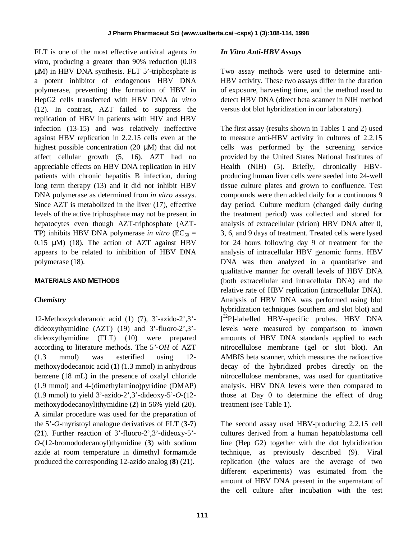FLT is one of the most effective antiviral agents *in vitro*, producing a greater than 90% reduction (0.03) µM) in HBV DNA synthesis. FLT 5'-triphosphate is a potent inhibitor of endogenous HBV DNA polymerase, preventing the formation of HBV in HepG2 cells transfected with HBV DNA *in vitro* (12). In contrast, AZT failed to suppress the replication of HBV in patients with HIV and HBV infection (13-15) and was relatively ineffective against HBV replication in 2.2.15 cells even at the highest possible concentration (20  $\mu$ M) that did not affect cellular growth (5, 16). AZT had no appreciable effects on HBV DNA replication in HIV patients with chronic hepatitis B infection, during long term therapy (13) and it did not inhibit HBV DNA polymerase as determined from *in vitro* assays. Since AZT is metabolized in the liver (17), effective levels of the active triphosphate may not be present in hepatocytes even though AZT-triphosphate (AZT-TP) inhibits HBV DNA polymerase *in vitro* ( $EC_{50}$  = 0.15 µM) (18). The action of AZT against HBV appears to be related to inhibition of HBV DNA polymerase (18).

## **MATERIALS AND METHODS**

#### *Chemistry*

12-Methoxydodecanoic acid (**1**) (7), 3'-azido-2',3' dideoxythymidine (AZT) (19) and 3'-fluoro-2',3' dideoxythymidine (FLT) (10) were prepared according to literature methods. The 5*'-OH* of AZT (1.3 mmol) was esterified using 12 methoxydodecanoic acid (**1**) (1.3 mmol) in anhydrous benzene (18 mL) in the presence of oxalyl chloride (1.9 mmol) and 4-(dimethylamino)pyridine (DMAP) (1.9 mmol) to yield 3'-azido-2',3'-dideoxy-5'-*O*-(12 methoxydodecanoyl)thymidine (**2**) in 56% yield (20). A similar procedure was used for the preparation of the 5'-*O*-myristoyl analogue derivatives of FLT (**3-7**) (21). Further reaction of 3'-fluoro-2',3'-dideoxy-5'- *O*-(12-bromododecanoyl)thymidine (**3**) with sodium azide at room temperature in dimethyl formamide produced the corresponding 12-azido analog (**8**) (21).

#### *In Vitro Anti-HBV Assays*

Two assay methods were used to determine anti-HBV activity. These two assays differ in the duration of exposure, harvesting time, and the method used to detect HBV DNA (direct beta scanner in NIH method versus dot blot hybridization in our laboratory).

The first assay (results shown in Tables 1 and 2) used to measure anti-HBV activity in cultures of 2.2.15 cells was performed by the screening service provided by the United States National Institutes of Health (NIH) (5). Briefly, chronically HBVproducing human liver cells were seeded into 24-well tissue culture plates and grown to confluence. Test compounds were then added daily for a continuous 9 day period. Culture medium (changed daily during the treatment period) was collected and stored for analysis of extracellular (virion) HBV DNA after 0, 3, 6, and 9 days of treatment. Treated cells were lysed for 24 hours following day 9 of treatment for the analysis of intracellular HBV genomic forms. HBV DNA was then analyzed in a quantitative and qualitative manner for overall levels of HBV DNA (both extracellular and intracellular DNA) and the relative rate of HBV replication (intracellular DNA). Analysis of HBV DNA was performed using blot hybridization techniques (southern and slot blot) and [<sup>32</sup>P]-labelled HBV-specific probes. HBV DNA levels were measured by comparison to known amounts of HBV DNA standards applied to each nitrocellulose membrane (gel or slot blot). An AMBIS beta scanner, which measures the radioactive decay of the hybridized probes directly on the nitrocellulose membranes, was used for quantitative analysis. HBV DNA levels were then compared to those at Day 0 to determine the effect of drug treatment (see Table 1).

The second assay used HBV-producing 2.2.15 cell cultures derived from a human hepatoblastoma cell line (Hep G2) together with the dot hybridization technique, as previously described (9). Viral replication (the values are the average of two different experiments) was estimated from the amount of HBV DNA present in the supernatant of the cell culture after incubation with the test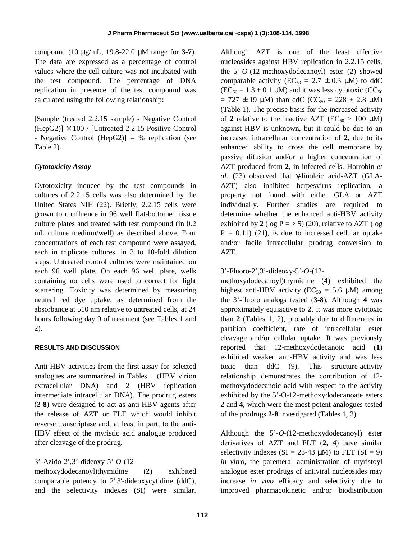compound (10 µg/mL, 19.8-22.0 µM range for **3-7**). The data are expressed as a percentage of control values where the cell culture was not incubated with the test compound. The percentage of DNA replication in presence of the test compound was calculated using the following relationship:

[Sample (treated 2.2.15 sample) - Negative Control  $(HepG2)$ ]  $\times$  100 / [Untreated 2.2.15 Positive Control - Negative Control (HepG2)] = % replication (see Table 2).

### *Cytotoxicity Assay*

Cytotoxicity induced by the test compounds in cultures of 2.2.15 cells was also determined by the United States NIH (22). Briefly, 2.2.15 cells were grown to confluence in 96 well flat-bottomed tissue culture plates and treated with test compound (in 0.2 mL culture medium/well) as described above. Four concentrations of each test compound were assayed, each in triplicate cultures, in 3 to 10-fold dilution steps. Untreated control cultures were maintained on each 96 well plate. On each 96 well plate, wells containing no cells were used to correct for light scattering. Toxicity was determined by measuring neutral red dye uptake, as determined from the absorbance at 510 nm relative to untreated cells, at 24 hours following day 9 of treatment (see Tables 1 and 2).

#### **RESULTS AND DISCUSSION**

Anti-HBV activities from the first assay for selected analogues are summarized in Tables 1 (HBV virion extracellular DNA) and 2 (HBV replication intermediate intracellular DNA). The prodrug esters (**2-8**) were designed to act as anti-HBV agents after the release of AZT or FLT which would inhibit reverse transcriptase and, at least in part, to the anti-HBV effect of the myristic acid analogue produced after cleavage of the prodrug.

## 3'-Azido-2',3'-dideoxy-5*'-O*-(12-

methoxydodecanoyl)thymidine (**2**) exhibited comparable potency to 2',3'-dideoxycytidine (ddC), and the selectivity indexes (SI) were similar. Although AZT is one of the least effective nucleosides against HBV replication in 2.2.15 cells, the 5*'-O*-(12-methoxydodecanoyl) ester (**2**) showed comparable activity ( $EC_{50} = 2.7 \pm 0.3$  µM) to ddC  $(EC_{50} = 1.3 \pm 0.1 \mu M)$  and it was less cytotoxic  $(CC_{50}$  $= 727 \pm 19 \mu M$ ) than ddC (CC<sub>50</sub> = 228  $\pm$  2.8  $\mu$ M) (Table 1). The precise basis for the increased activity of 2 relative to the inactive AZT ( $EC_{50} > 100 \mu M$ ) against HBV is unknown, but it could be due to an increased intracellular concentration of **2**, due to its enhanced ability to cross the cell membrane by passive difusion and/or a higher concentration of AZT produced from **2**, in infected cells. Horrobin *et al.* (23) observed that γ-linoleic acid-AZT (GLA-AZT) also inhibited herpesvirus replication, a property not found with either GLA or AZT individually. Further studies are required to determine whether the enhanced anti-HBV activity exhibited by 2 (log  $P = 5$ ) (20), relative to AZT (log  $P = 0.11$ ) (21), is due to increased cellular uptake and/or facile intracellular prodrug conversion to AZT.

3'-Fluoro-2',3'-dideoxy-5*'-O*-(12-

methoxydodecanoyl)thymidine (**4**) exhibited the highest anti-HBV activity ( $EC_{50} = 5.6$  µM) among the 3'-fluoro analogs tested (**3-8**). Although **4** was approximately equiactive to **2**, it was more cytotoxic than **2** (Tables 1, 2), probably due to differences in partition coefficient, rate of intracellular ester cleavage and/or cellular uptake. It was previously reported that 12-methoxydodecanoic acid (**1**) exhibited weaker anti-HBV activity and was less toxic than ddC (9). This structure-activity relationship demonstrates the contribution of 12 methoxydodecanoic acid with respect to the activity exhibited by the 5'-O-12-methoxydodecanoate esters **2** and **4**, which were the most potent analogues tested of the prodrugs **2-8** investigated (Tables 1, 2).

Although the 5'-*O*-(12-methoxydodecanoyl) ester derivatives of AZT and FLT (**2, 4**) have similar selectivity indexes  $(SI = 23-43 \mu M)$  to FLT  $(SI = 9)$ *in vitro*, the parenteral administration of myristoyl analogue ester prodrugs of antiviral nucleosides may increase *in vivo* efficacy and selectivity due to improved pharmacokinetic and/or biodistribution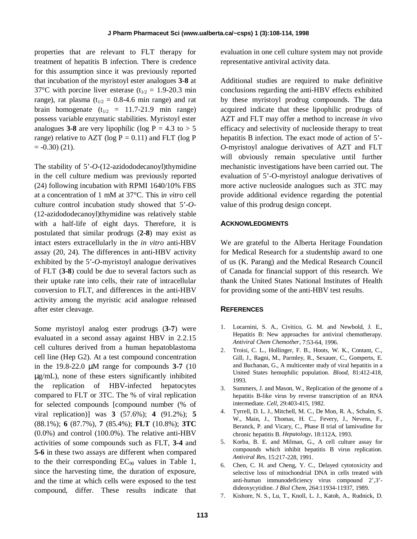properties that are relevant to FLT therapy for treatment of hepatitis B infection. There is credence for this assumption since it was previously reported that incubation of the myristoyl ester analogues **3-8** at 37°C with porcine liver esterase ( $t_{1/2} = 1.9$ -20.3 min range), rat plasma ( $t_{1/2} = 0.8-4.6$  min range) and rat brain homogenate  $(t_{1/2} = 11.7-21.9$  min range) possess variable enzymatic stabilities. Myristoyl ester analogues **3-8** are very lipophilic (log  $P = 4.3$  to  $> 5$ ) range) relative to AZT (log  $P = 0.11$ ) and FLT (log P  $= -0.30$  (21).

The stability of 5'-*O*-(12-azidododecanoyl)thymidine in the cell culture medium was previously reported (24) following incubation with RPMI 1640/10% FBS at a concentration of 1 mM at 37°C. This i*n vitro* cell culture control incubation study showed that 5'-*O*- (12-azidododecanoyl)thymidine was relatively stable with a half-life of eight days. Therefore, it is postulated that similar prodrugs (**2-8**) may exist as intact esters extracellularly in the *in vitro* anti-HBV assay (20, 24). The differences in anti-HBV activity exhibited by the 5'-*O*-myristoyl analogue derivatives of FLT (**3-8**) could be due to several factors such as their uptake rate into cells, their rate of intracellular conversion to FLT, and differences in the anti-HBV activity among the myristic acid analogue released after ester cleavage.

Some myristoyl analog ester prodrugs (**3-7**) were evaluated in a second assay against HBV in 2.2.15 cell cultures derived from a human hepatoblastoma cell line (Hep G2). At a test compound concentration in the 19.8-22.0 µM range for compounds **3-7** (10 µg/mL), none of these esters significantly inhibited the replication of HBV-infected hepatocytes compared to FLT or 3TC. The % of viral replication for selected compounds [compound number (% of viral replication)] was **3** (57.6%); **4** (91.2%); **5** (88.1%); **6** (87.7%), **7** (85.4%); **FLT** (10.8%); **3TC** (0.0%) and control (100.0%). The relative anti-HBV activities of some compounds such as FLT, **3-4** and **5-6** in these two assays are different when compared to the their corresponding  $EC_{90}$  values in Table 1, since the harvesting time, the duration of exposure, and the time at which cells were exposed to the test compound, differ. These results indicate that evaluation in one cell culture system may not provide representative antiviral activity data.

Additional studies are required to make definitive conclusions regarding the anti-HBV effects exhibited by these myristoyl prodrug compounds. The data acquired indicate that these lipophilic prodrugs of AZT and FLT may offer a method to increase *in vivo* efficacy and selectivity of nucleoside therapy to treat hepatitis B infection. The exact mode of action of 5'- *O*-myristoyl analogue derivatives of AZT and FLT will obviously remain speculative until further mechanistic investigations have been carried out. The evaluation of 5'-O-myristoyl analogue derivatives of more active nucleoside analogues such as 3TC may provide additional evidence regarding the potential value of this prodrug design concept.

## **ACKNOWLEDGMENTS**

We are grateful to the Alberta Heritage Foundation for Medical Research for a studentship award to one of us (K. Parang) and the Medical Research Council of Canada for financial support of this research. We thank the United States National Institutes of Health for providing some of the anti-HBV test results.

#### **REFERENCES**

- 1. Locarnini, S. A., Civitico, G. M. and Newbold, J. E., Hepatitis B: New approaches for antiviral chemotherapy. *Antiviral Chem Chemother,* 7:53-64, 1996.
- 2. Troisi, C. L., Hollinger, F. B., Hoots, W. K., Contant, C., Gill, J., Ragni, M., Parmley, R., Sexauer, C., Gomperts, E. and Buchanan, G., A multicenter study of viral hepatitis in a United States hemophilic population. *Blood,* 81:412-418, 1993.
- 3. Summers, J. and Mason, W., Replication of the genome of a hepatitis B-like virus by reverse transcription of an RNA intermediate. *Cell,* 29:403-415, 1982.
- 4. Tyrrell, D. L. J., Mitchell, M. C., De Mon, R. A., Schalm, S. W., Main, J., Thomas, H. C., Fevery, J., Nevens, F., Beranck, P. and Vicary, C., Phase II trial of lamivudine for chronic hepatitis B. *Hepatology,* 18:112A, 1993.
- 5. Korba, B. E. and Milman, G., A cell culture assay for compounds which inhibit hepatitis B virus replication. *Antiviral Res,* 15:217-228, 1991.
- 6. Chen, C. H. and Cheng, Y. C., Delayed cytotoxicity and selective loss of mitochondrial DNA in cells treated with anti-human immunodeficiency virus compound 2',3' dideoxycytidine. *J Biol Chem,* 264:11934-11937, 1989.
- 7. Kishore, N. S., Lu, T., Knoll, L. J., Katoh, A., Rudnick, D.